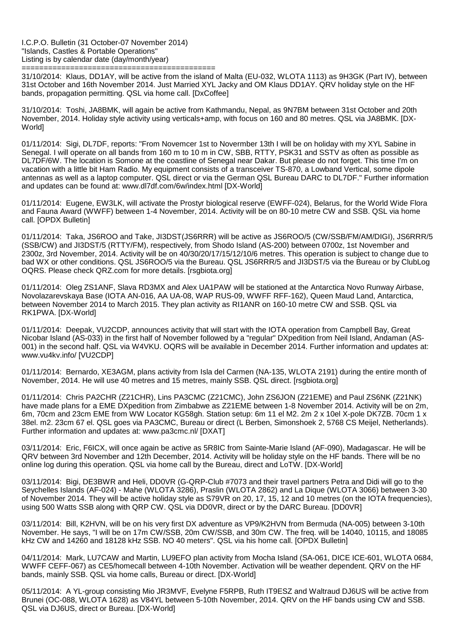I.C.P.O. Bulletin (31 October-07 November 2014) "Islands, Castles & Portable Operations" Listing is by calendar date (day/month/year)

============================================ 31/10/2014: Klaus, DD1AY, will be active from the island of Malta (EU-032, WLOTA 1113) as 9H3GK (Part IV), between 31st October and 16th November 2014. Just Married XYL Jacky and OM Klaus DD1AY. QRV holiday style on the HF bands, propagation permitting. QSL via home call. [DxCoffee]

31/10/2014: Toshi, JA8BMK, will again be active from Kathmandu, Nepal, as 9N7BM between 31st October and 20th November, 2014. Holiday style activity using verticals+amp, with focus on 160 and 80 metres. QSL via JA8BMK. [DX-World]

01/11/2014: Sigi, DL7DF, reports: "From Novemcer 1st to Novermber 13th I will be on holiday with my XYL Sabine in Senegal. I will operate on all bands from 160 m to 10 m in CW, SBB, RTTY, PSK31 and SSTV as often as possible as DL7DF/6W. The location is Somone at the coastline of Senegal near Dakar. But please do not forget. This time I'm on vacation with a little bit Ham Radio. My equipment consists of a transceiver TS-870, a Lowband Vertical, some dipole antennas as well as a laptop computer. QSL direct or via the German QSL Bureau DARC to DL7DF." Further information and updates can be found at: www.dl7df.com/6w/index.html [DX-World]

01/11/2014: Eugene, EW3LK, will activate the Prostyr biological reserve (EWFF-024), Belarus, for the World Wide Flora and Fauna Award (WWFF) between 1-4 November, 2014. Activity will be on 80-10 metre CW and SSB. QSL via home call. [OPDX Bulletin]

01/11/2014: Taka, JS6ROO and Take, JI3DST(JS6RRR) will be active as JS6ROO/5 (CW/SSB/FM/AM/DIGI), JS6RRR/5 (SSB/CW) and JI3DST/5 (RTTY/FM), respectively, from Shodo Island (AS-200) between 0700z, 1st November and 2300z, 3rd November, 2014. Activity will be on 40/30/20/17/15/12/10/6 metres. This operation is subject to change due to bad WX or other conditions. QSL JS6ROO/5 via the Bureau. QSL JS6RRR/5 and JI3DST/5 via the Bureau or by ClubLog OQRS. Please check QRZ.com for more details. [rsgbiota.org]

01/11/2014: Oleg ZS1ANF, Slava RD3MX and Alex UA1PAW will be stationed at the Antarctica Novo Runway Airbase, Novolazarevskaya Base (IOTA AN-016, AA UA-08, WAP RUS-09, WWFF RFF-162), Queen Maud Land, Antarctica, between November 2014 to March 2015. They plan activity as RI1ANR on 160-10 metre CW and SSB. QSL via RK1PWA. [DX-World]

01/11/2014: Deepak, VU2CDP, announces activity that will start with the IOTA operation from Campbell Bay, Great Nicobar Island (AS-033) in the first half of November followed by a "regular" DXpedition from Neil Island, Andaman (AS-001) in the second half. QSL via W4VKU. OQRS will be available in December 2014. Further information and updates at: www.vu4kv.info/ [VU2CDP]

01/11/2014: Bernardo, XE3AGM, plans activity from Isla del Carmen (NA-135, WLOTA 2191) during the entire month of November, 2014. He will use 40 metres and 15 metres, mainly SSB. QSL direct. [rsgbiota.org]

01/11/2014: Chris PA2CHR (Z21CHR), Lins PA3CMC (Z21CMC), John ZS6JON (Z21EME) and Paul ZS6NK (Z21NK) have made plans for a EME DXpedition from Zimbabwe as Z21EME between 1-8 November 2014. Activity will be on 2m, 6m, 70cm and 23cm EME from WW Locator KG58gh. Station setup: 6m 11 el M2. 2m 2 x 10el X-pole DK7ZB. 70cm 1 x 38el. m2. 23cm 67 el. QSL goes via PA3CMC, Bureau or direct (L Berben, Simonshoek 2, 5768 CS Meijel, Netherlands). Further information and updates at: www.pa3cmc.nl/ [DXAT]

03/11/2014: Eric, F6ICX, will once again be active as 5R8IC from Sainte-Marie Island (AF-090), Madagascar. He will be QRV between 3rd November and 12th December, 2014. Activity will be holiday style on the HF bands. There will be no online log during this operation. QSL via home call by the Bureau, direct and LoTW. [DX-World]

03/11/2014: Bigi, DE3BWR and Heli, DD0VR (G-QRP-Club #7073 and their travel partners Petra and Didi will go to the Seychelles Islands (AF-024) - Mahe (WLOTA 3286), Praslin (WLOTA 2862) and La Dique (WLOTA 3066) between 3-30 of November 2014. They will be active holiday style as S79VR on 20, 17, 15, 12 and 10 metres (on the IOTA frequencies), using 500 Watts SSB along with QRP CW. QSL via DD0VR, direct or by the DARC Bureau. [DD0VR]

03/11/2014: Bill, K2HVN, will be on his very first DX adventure as VP9/K2HVN from Bermuda (NA-005) between 3-10th November. He says, "I will be on 17m CW/SSB, 20m CW/SSB, and 30m CW. The freq. will be 14040, 10115, and 18085 kHz CW and 14260 and 18128 kHz SSB. NO 40 meters". QSL via his home call. [OPDX Bulletin]

04/11/2014: Mark, LU7CAW and Martin, LU9EFO plan activity from Mocha Island (SA-061, DICE ICE-601, WLOTA 0684, WWFF CEFF-067) as CE5/homecall between 4-10th November. Activation will be weather dependent. QRV on the HF bands, mainly SSB. QSL via home calls, Bureau or direct. [DX-World]

05/11/2014: A YL-group consisting Mio JR3MVF, Evelyne F5RPB, Ruth IT9ESZ and Waltraud DJ6US will be active from Brunei (OC-088, WLOTA 1628) as V84YL between 5-10th November, 2014. QRV on the HF bands using CW and SSB. QSL via DJ6US, direct or Bureau. [DX-World]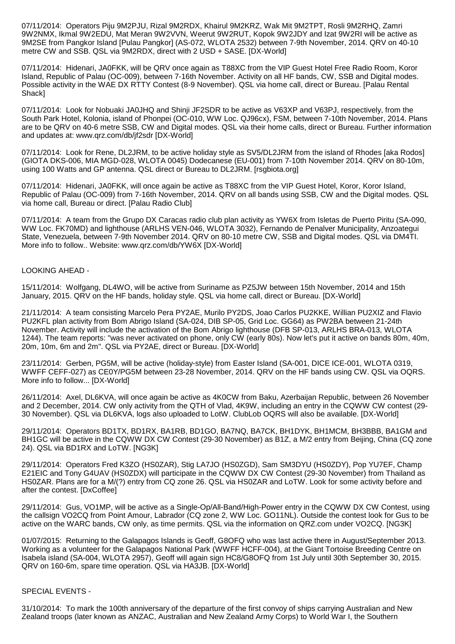07/11/2014: Operators Piju 9M2PJU, Rizal 9M2RDX, Khairul 9M2KRZ, Wak Mit 9M2TPT, Rosli 9M2RHQ, Zamri 9W2NMX, Ikmal 9W2EDU, Mat Meran 9W2VVN, Weerut 9W2RUT, Kopok 9W2JDY and Izat 9W2RI will be active as 9M2SE from Pangkor Island [Pulau Pangkor] (AS-072, WLOTA 2532) between 7-9th November, 2014. QRV on 40-10 metre CW and SSB. QSL via 9M2RDX, direct with 2 USD + SASE. [DX-World]

07/11/2014: Hidenari, JA0FKK, will be QRV once again as T88XC from the VIP Guest Hotel Free Radio Room, Koror Island, Republic of Palau (OC-009), between 7-16th November. Activity on all HF bands, CW, SSB and Digital modes. Possible activity in the WAE DX RTTY Contest (8-9 November). QSL via home call, direct or Bureau. [Palau Rental Shack]

07/11/2014: Look for Nobuaki JA0JHQ and Shinji JF2SDR to be active as V63XP and V63PJ, respectively, from the South Park Hotel, Kolonia, island of Phonpei (OC-010, WW Loc. QJ96cx), FSM, between 7-10th November, 2014. Plans are to be QRV on 40-6 metre SSB, CW and Digital modes. QSL via their home calls, direct or Bureau. Further information and updates at: www.qrz.com/db/jf2sdr [DX-World]

07/11/2014: Look for Rene, DL2JRM, to be active holiday style as SV5/DL2JRM from the island of Rhodes [aka Rodos] (GIOTA DKS-006, MIA MGD-028, WLOTA 0045) Dodecanese (EU-001) from 7-10th November 2014. QRV on 80-10m, using 100 Watts and GP antenna. QSL direct or Bureau to DL2JRM. [rsgbiota.org]

07/11/2014: Hidenari, JA0FKK, will once again be active as T88XC from the VIP Guest Hotel, Koror, Koror Island, Republic of Palau (OC-009) from 7-16th November, 2014. QRV on all bands using SSB, CW and the Digital modes. QSL via home call, Bureau or direct. [Palau Radio Club]

07/11/2014: A team from the Grupo DX Caracas radio club plan activity as YW6X from Isletas de Puerto Piritu (SA-090, WW Loc. FK70MD) and lighthouse (ARLHS VEN-046, WLOTA 3032), Fernando de Penalver Municipality, Anzoategui State, Venezuela, between 7-9th November 2014. QRV on 80-10 metre CW, SSB and Digital modes. QSL via DM4TI. More info to follow.. Website: www.qrz.com/db/YW6X [DX-World]

## LOOKING AHEAD -

15/11/2014: Wolfgang, DL4WO, will be active from Suriname as PZ5JW between 15th November, 2014 and 15th January, 2015. QRV on the HF bands, holiday style. QSL via home call, direct or Bureau. [DX-World]

21/11/2014: A team consisting Marcelo Pera PY2AE, Murilo PY2DS, Joao Carlos PU2KKE, Willian PU2XIZ and Flavio PU2KFL plan activity from Bom Abrigo Island (SA-024, DIB SP-05, Grid Loc. GG64) as PW2BA between 21-24th November. Activity will include the activation of the Bom Abrigo lighthouse (DFB SP-013, ARLHS BRA-013, WLOTA 1244). The team reports: "was never activated on phone, only CW (early 80s). Now let's put it active on bands 80m, 40m, 20m, 10m, 6m and 2m". QSL via PY2AE, direct or Bureau. [DX-World]

23/11/2014: Gerben, PG5M, will be active (holiday-style) from Easter Island (SA-001, DICE ICE-001, WLOTA 0319, WWFF CEFF-027) as CE0Y/PG5M between 23-28 November, 2014. QRV on the HF bands using CW. QSL via OQRS. More info to follow... [DX-World]

26/11/2014: Axel, DL6KVA, will once again be active as 4K0CW from Baku, Azerbaijan Republic, between 26 November and 2 December, 2014. CW only activity from the QTH of Vlad, 4K9W, including an entry in the CQWW CW contest (29- 30 November). QSL via DL6KVA, logs also uploaded to LotW. ClubLob OQRS will also be available. [DX-World]

29/11/2014: Operators BD1TX, BD1RX, BA1RB, BD1GO, BA7NQ, BA7CK, BH1DYK, BH1MCM, BH3BBB, BA1GM and BH1GC will be active in the CQWW DX CW Contest (29-30 November) as B1Z, a M/2 entry from Beijing, China (CQ zone 24). QSL via BD1RX and LoTW. [NG3K]

29/11/2014: Operators Fred K3ZO (HS0ZAR), Stig LA7JO (HS0ZGD), Sam SM3DYU (HS0ZDY), Pop YU7EF, Champ E21EIC and Tony G4UAV (HS0ZDX) will participate in the CQWW DX CW Contest (29-30 November) from Thailand as HS0ZAR. Plans are for a M/(?) entry from CQ zone 26. QSL via HS0ZAR and LoTW. Look for some activity before and after the contest. [DxCoffee]

29/11/2014: Gus, VO1MP, will be active as a Single-Op/All-Band/High-Power entry in the CQWW DX CW Contest, using the callsign VO2CQ from Point Amour, Labrador (CQ zone 2, WW Loc. GO11NL). Outside the contest look for Gus to be active on the WARC bands, CW only, as time permits. QSL via the information on QRZ.com under VO2CQ. [NG3K]

01/07/2015: Returning to the Galapagos Islands is Geoff, G8OFQ who was last active there in August/September 2013. Working as a volunteer for the Galapagos National Park (WWFF HCFF-004), at the Giant Tortoise Breeding Centre on Isabela island (SA-004, WLOTA 2957), Geoff will again sign HC8/G8OFQ from 1st July until 30th September 30, 2015. QRV on 160-6m, spare time operation. QSL via HA3JB. [DX-World]

## SPECIAL EVENTS -

31/10/2014: To mark the 100th anniversary of the departure of the first convoy of ships carrying Australian and New Zealand troops (later known as ANZAC, Australian and New Zealand Army Corps) to World War I, the Southern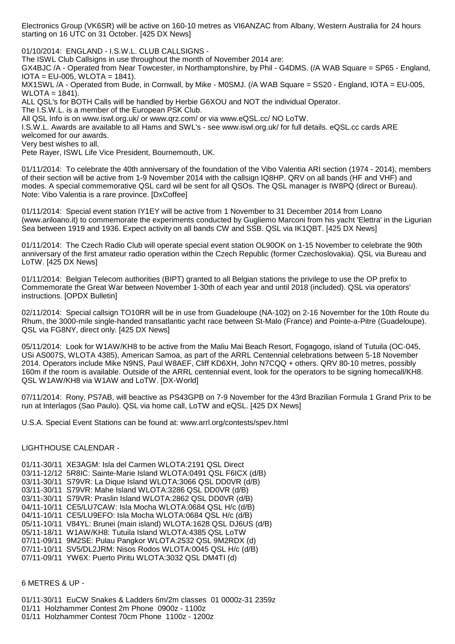Electronics Group (VK6SR) will be active on 160-10 metres as VI6ANZAC from Albany, Western Australia for 24 hours starting on 16 UTC on 31 October. [425 DX News]

01/10/2014: ENGLAND - I.S.W.L. CLUB CALLSIGNS -

The ISWL Club Callsigns in use throughout the month of November 2014 are:

GX4BJC /A - Operated from Near Towcester, in Northamptonshire, by Phil - G4DMS. (/A WAB Square = SP65 - England,  $IOTA = EU-005$ ,  $WLOTA = 1841$ .

MX1SWL /A - Operated from Bude, in Cornwall, by Mike - M0SMJ. (/A WAB Square = SS20 - England, IOTA = EU-005, WLOTA = 1841).

ALL QSL's for BOTH Calls will be handled by Herbie G6XOU and NOT the individual Operator.

The I.S.W.L. is a member of the European PSK Club.

All QSL Info is on www.iswl.org.uk/ or www.qrz.com/ or via www.eQSL.cc/ NO LoTW.

I.S.W.L. Awards are available to all Hams and SWL's - see www.iswl.org.uk/ for full details. eQSL.cc cards ARE welcomed for our awards.

Very best wishes to all,

Pete Rayer, ISWL Life Vice President, Bournemouth, UK.

01/11/2014: To celebrate the 40th anniversary of the foundation of the Vibo Valentia ARI section (1974 - 2014), members of their section will be active from 1-9 November 2014 with the callsign IQ8HP. QRV on all bands (HF and VHF) and modes. A special commemorative QSL card wil be sent for all QSOs. The QSL manager is IW8PQ (direct or Bureau). Note: Vibo Valentia is a rare province. [DxCoffee]

01/11/2014: Special event station IY1EY will be active from 1 November to 31 December 2014 from Loano (www.ariloano.it) to commemorate the experiments conducted by Gugliemo Marconi from his yacht 'Elettra' in the Ligurian Sea between 1919 and 1936. Expect activity on all bands CW and SSB. QSL via IK1QBT. [425 DX News]

01/11/2014: The Czech Radio Club will operate special event station OL90OK on 1-15 November to celebrate the 90th anniversary of the first amateur radio operation within the Czech Republic (former Czechoslovakia). QSL via Bureau and LoTW. [425 DX News]

01/11/2014: Belgian Telecom authorities (BIPT) granted to all Belgian stations the privilege to use the OP prefix to Commemorate the Great War between November 1-30th of each year and until 2018 (included). QSL via operators' instructions. [OPDX Bulletin]

02/11/2014: Special callsign TO10RR will be in use from Guadeloupe (NA-102) on 2-16 November for the 10th Route du Rhum, the 3000-mile single-handed transatlantic yacht race between St-Malo (France) and Pointe-a-Pitre (Guadeloupe). QSL via FG8NY, direct only. [425 DX News]

05/11/2014: Look for W1AW/KH8 to be active from the Maliu Mai Beach Resort, Fogagogo, island of Tutuila (OC-045, USi AS007S, WLOTA 4385), American Samoa, as part of the ARRL Centennial celebrations between 5-18 November 2014. Operators include Mike N9NS, Paul W8AEF, Cliff KD6XH, John N7CQQ + others. QRV 80-10 metres, possibly 160m if the room is available. Outside of the ARRL centennial event, look for the operators to be signing homecall/KH8. QSL W1AW/KH8 via W1AW and LoTW. [DX-World]

07/11/2014: Rony, PS7AB, will beactive as PS43GPB on 7-9 November for the 43rd Brazilian Formula 1 Grand Prix to be run at Interlagos (Sao Paulo). QSL via home call, LoTW and eQSL. [425 DX News]

U.S.A. Special Event Stations can be found at: www.arrl.org/contests/spev.html

## LIGHTHOUSE CALENDAR -

- 01/11-30/11 XE3AGM: Isla del Carmen WLOTA:2191 QSL Direct
- 03/11-12/12 5R8IC: Sainte-Marie Island WLOTA:0491 QSL F6ICX (d/B)
- 03/11-30/11 S79VR: La Dique Island WLOTA:3066 QSL DD0VR (d/B)
- 03/11-30/11 S79VR: Mahe Island WLOTA:3286 QSL DD0VR (d/B)
- 03/11-30/11 S79VR: Praslin Island WLOTA:2862 QSL DD0VR (d/B)
- 04/11-10/11 CE5/LU7CAW: Isla Mocha WLOTA:0684 QSL H/c (d/B)
- 04/11-10/11 CE5/LU9EFO: Isla Mocha WLOTA:0684 QSL H/c (d/B)
- 05/11-10/11 V84YL: Brunei (main island) WLOTA:1628 QSL DJ6US (d/B)
- 05/11-18/11 W1AW/KH8: Tutuila Island WLOTA:4385 QSL LoTW
- 07/11-09/11 9M2SE: Pulau Pangkor WLOTA:2532 QSL 9M2RDX (d)
- 07/11-10/11 SV5/DL2JRM: Nisos Rodos WLOTA:0045 QSL H/c (d/B)
- 07/11-09/11 YW6X: Puerto Piritu WLOTA:3032 QSL DM4TI (d)

## 6 METRES & UP -

01/11-30/11 EuCW Snakes & Ladders 6m/2m classes 01 0000z-31 2359z 01/11 Holzhammer Contest 2m Phone 0900z - 1100z 01/11 Holzhammer Contest 70cm Phone 1100z - 1200z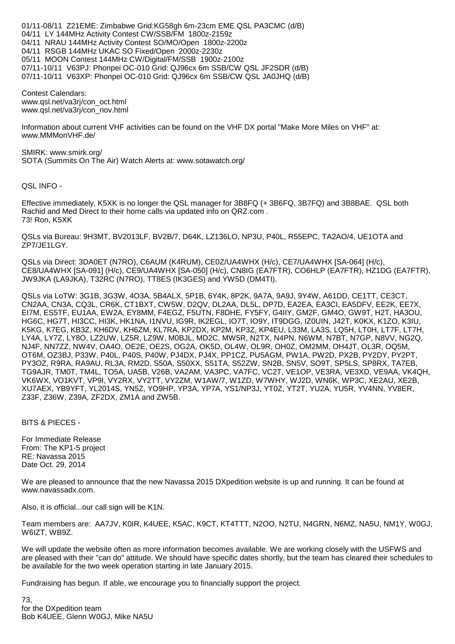01/11-08/11 Z21EME: Zimbabwe Grid:KG58gh 6m-23cm EME QSL PA3CMC (d/B) 04/11 LY 144MHz Activity Contest CW/SSB/FM 1800z-2159z 04/11 NRAU 144MHz Activity Contest SO/MO/Open 1800z-2200z 04/11 RSGB 144MHz UKAC SO Fixed/Open 2000z-2230z 05/11 MOON Contest 144MHz CW/Digital/FM/SSB 1900z-2100z 07/11-10/11 V63PJ: Phonpei OC-010 Grid: QJ96cx 6m SSB/CW QSL JF2SDR (d/B) 07/11-10/11 V63XP: Phonpei OC-010 Grid: QJ96cx 6m SSB/CW QSL JA0JHQ (d/B)

Contest Calendars: www.qsl.net/va3rj/con\_oct.html www.qsl.net/va3rj/con\_nov.html

Information about current VHF activities can be found on the VHF DX portal "Make More Miles on VHF" at: www.MMMonVHF.de/

SMIRK: www.smirk.org/ SOTA (Summits On The Air) Watch Alerts at: www.sotawatch.org/

QSL INFO -

Effective immediately, K5XK is no longer the QSL manager for 3B8FQ (+ 3B6FQ, 3B7FQ) and 3B8BAE. QSL both Rachid and Med Direct to their home calls via updated info on QRZ.com . 73! Ron, K5XK

QSLs via Bureau: 9H3MT, BV2013LF, BV2B/7, D64K, LZ136LO, NP3U, P40L, R55EPC, TA2AO/4, UE1OTA and ZP7/JE1LGY.

QSLs via Direct: 3DA0ET (N7RO), C6AUM (K4RUM), CE0Z/UA4WHX (H/c), CE7/UA4WHX [SA-064] (H/c), CE8/UA4WHX [SA-091] (H/c), CE9/UA4WHX [SA-050] (H/c), CN8IG (EA7FTR), CO6HLP (EA7FTR), HZ1DG (EA7FTR), JW9JKA (LA9JKA), T32RC (N7RO), TT8ES (IK3GES) and YW5D (DM4TI).

QSLs via LoTW: 3G1B, 3G3W, 4O3A, 5B4ALX, 5P1B, 6Y4K, 8P2K, 9A7A, 9A9J, 9Y4W, A61DD, CE1TT, CE3CT, CN2AA, CN3A, CQ3L, CR6K, CT1BXT, CW5W, D2QV, DL2AA, DL5L, DP7D, EA2EA, EA3CI, EA5DFV, EE2K, EE7X, EI7M, ES5TF, EU1AA, EW2A, EY8MM, F4EGZ, F5UTN, F8DHE, FY5FY, G4IIY, GM2F, GM4O, GW9T, H2T, HA3OU, HG6C, HG7T, HI3CC, HI3K, HK1NA, I1NVU, IG9R, IK2EGL, IO7T, IO9Y, IT9DGG, IZ0UIN, J42T, K0KX, K1ZO, K3IU, K5KG, K7EG, KB3Z, KH6DV, KH6ZM, KL7RA, KP2DX, KP2M, KP3Z, KP4EU, L33M, LA3S, LQ5H, LT0H, LT7F, LT7H, LY4A, LY7Z, LY8O, LZ2UW, LZ5R, LZ9W, M0BJL, MD2C, MW5R, N2TX, N4PN, N6WM, N7BT, N7GP, N8VV, NG2Q, NJ4F, NN7ZZ, NW4V, OA4O, OE2E, OE2S, OG2A, OK5D, OL4W, OL9R, OH0Z, OM2MM, OH4JT, OL3R, OQ5M, OT6M, OZ3BJ, P33W, P40L, P40S, P40W, PJ4DX, PJ4X, PP1CZ, PU5AGM, PW1A, PW2D, PX2B, PY2DY, PY2PT, PY3OZ, R9RA, RA9AU, RL3A, RM2D, S50A, S50XX, S51TA, S52ZW, SN2B, SN5V, SO9T, SP5LS, SP8RX, TA7EB, TG9AJR, TM0T, TM4L, TO5A, UA5B, V26B, VA2AM, VA3PC, VA7FC, VC2T, VE1OP, VE3RA, VE3XD, VE9AA, VK4QH, VK6WX, VO1KVT, VP9I, VY2RX, VY2TT, VY2ZM, W1AW/7, W1ZD, W7WHY, WJ2D, WN6K, WP3C, XE2AU, XE2B, XU7AEX, YB9YFT, YL2014S, YN5Z, YO9HP, YP3A, YP7A, YS1/NP3J, YT0Z, YT2T, YU2A, YU5R, YV4NN, YV8ER, Z33F, Z36W, Z39A, ZF2DX, ZM1A and ZW5B.

BITS & PIECES -

For Immediate Release From: The KP1-5 project RE: Navassa 2015 Date Oct. 29, 2014

We are pleased to announce that the new Navassa 2015 DXpedition website is up and running. It can be found at www.navassadx.com.

Also, it is official...our call sign will be K1N.

Team members are: AA7JV, K0IR, K4UEE, K5AC, K9CT, KT4TTT, N2OO, N2TU, N4GRN, N6MZ, NA5U, NM1Y, W0GJ, W6IZT, WB9Z.

We will update the website often as more information becomes available. We are working closely with the USFWS and are pleased with their "can do" attitude. We should have specific dates shortly, but the team has cleared their schedules to be available for the two week operation starting in late January 2015.

Fundraising has begun. If able, we encourage you to financially support the project.